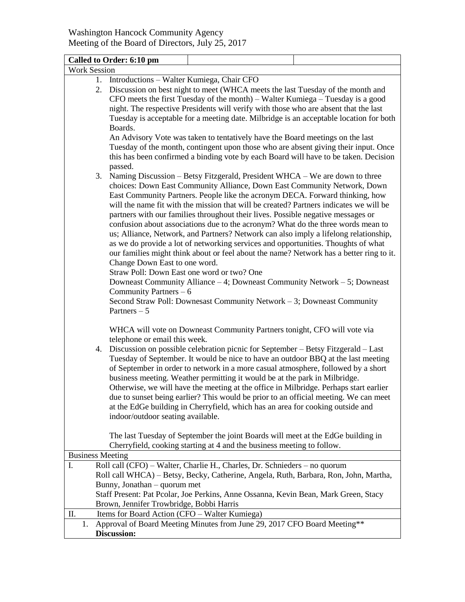|                                                                                                                                                            | Called to Order: 6:10 pm                                                                                            |  |  |
|------------------------------------------------------------------------------------------------------------------------------------------------------------|---------------------------------------------------------------------------------------------------------------------|--|--|
| <b>Work Session</b>                                                                                                                                        |                                                                                                                     |  |  |
|                                                                                                                                                            | 1. Introductions – Walter Kumiega, Chair CFO                                                                        |  |  |
|                                                                                                                                                            | Discussion on best night to meet (WHCA meets the last Tuesday of the month and<br>2.                                |  |  |
|                                                                                                                                                            | $CFO$ meets the first Tuesday of the month) – Walter Kumiega – Tuesday is a good                                    |  |  |
|                                                                                                                                                            | night. The respective Presidents will verify with those who are absent that the last                                |  |  |
| Tuesday is acceptable for a meeting date. Milbridge is an acceptable location for both<br>Boards.                                                          |                                                                                                                     |  |  |
|                                                                                                                                                            |                                                                                                                     |  |  |
|                                                                                                                                                            | Tuesday of the month, contingent upon those who are absent giving their input. Once                                 |  |  |
|                                                                                                                                                            | this has been confirmed a binding vote by each Board will have to be taken. Decision                                |  |  |
|                                                                                                                                                            | passed.                                                                                                             |  |  |
| 3.                                                                                                                                                         | Naming Discussion - Betsy Fitzgerald, President WHCA - We are down to three                                         |  |  |
|                                                                                                                                                            | choices: Down East Community Alliance, Down East Community Network, Down                                            |  |  |
|                                                                                                                                                            | East Community Partners. People like the acronym DECA. Forward thinking, how                                        |  |  |
|                                                                                                                                                            | will the name fit with the mission that will be created? Partners indicates we will be                              |  |  |
|                                                                                                                                                            | partners with our families throughout their lives. Possible negative messages or                                    |  |  |
|                                                                                                                                                            | confusion about associations due to the acronym? What do the three words mean to                                    |  |  |
|                                                                                                                                                            | us; Alliance, Network, and Partners? Network can also imply a lifelong relationship,                                |  |  |
|                                                                                                                                                            | as we do provide a lot of networking services and opportunities. Thoughts of what                                   |  |  |
|                                                                                                                                                            | our families might think about or feel about the name? Network has a better ring to it.                             |  |  |
|                                                                                                                                                            | Change Down East to one word.                                                                                       |  |  |
|                                                                                                                                                            | Straw Poll: Down East one word or two? One                                                                          |  |  |
|                                                                                                                                                            | Downeast Community Alliance - 4; Downeast Community Network - 5; Downeast                                           |  |  |
|                                                                                                                                                            | Community Partners $-6$                                                                                             |  |  |
|                                                                                                                                                            | Second Straw Poll: Downesast Community Network - 3; Downeast Community                                              |  |  |
|                                                                                                                                                            | Partners $-5$                                                                                                       |  |  |
|                                                                                                                                                            |                                                                                                                     |  |  |
|                                                                                                                                                            | WHCA will vote on Downeast Community Partners tonight, CFO will vote via                                            |  |  |
|                                                                                                                                                            | telephone or email this week.                                                                                       |  |  |
| 4.                                                                                                                                                         | Discussion on possible celebration picnic for September - Betsy Fitzgerald - Last                                   |  |  |
|                                                                                                                                                            | Tuesday of September. It would be nice to have an outdoor BBQ at the last meeting                                   |  |  |
|                                                                                                                                                            | of September in order to network in a more casual atmosphere, followed by a short                                   |  |  |
|                                                                                                                                                            | business meeting. Weather permitting it would be at the park in Milbridge.                                          |  |  |
|                                                                                                                                                            | Otherwise, we will have the meeting at the office in Milbridge. Perhaps start earlier                               |  |  |
|                                                                                                                                                            | due to sunset being earlier? This would be prior to an official meeting. We can meet                                |  |  |
|                                                                                                                                                            |                                                                                                                     |  |  |
|                                                                                                                                                            | at the EdGe building in Cherryfield, which has an area for cooking outside and<br>indoor/outdoor seating available. |  |  |
|                                                                                                                                                            |                                                                                                                     |  |  |
|                                                                                                                                                            |                                                                                                                     |  |  |
| The last Tuesday of September the joint Boards will meet at the EdGe building in<br>Cherryfield, cooking starting at 4 and the business meeting to follow. |                                                                                                                     |  |  |
| <b>Business Meeting</b>                                                                                                                                    |                                                                                                                     |  |  |
| I.                                                                                                                                                         | Roll call (CFO) - Walter, Charlie H., Charles, Dr. Schnieders - no quorum                                           |  |  |
|                                                                                                                                                            | Roll call WHCA) - Betsy, Becky, Catherine, Angela, Ruth, Barbara, Ron, John, Martha,                                |  |  |
|                                                                                                                                                            | Bunny, Jonathan – quorum met                                                                                        |  |  |
|                                                                                                                                                            | Staff Present: Pat Pcolar, Joe Perkins, Anne Ossanna, Kevin Bean, Mark Green, Stacy                                 |  |  |
|                                                                                                                                                            | Brown, Jennifer Trowbridge, Bobbi Harris                                                                            |  |  |
| П.                                                                                                                                                         | Items for Board Action (CFO – Walter Kumiega)                                                                       |  |  |
| 1.                                                                                                                                                         | Approval of Board Meeting Minutes from June 29, 2017 CFO Board Meeting**                                            |  |  |
|                                                                                                                                                            | Discussion:                                                                                                         |  |  |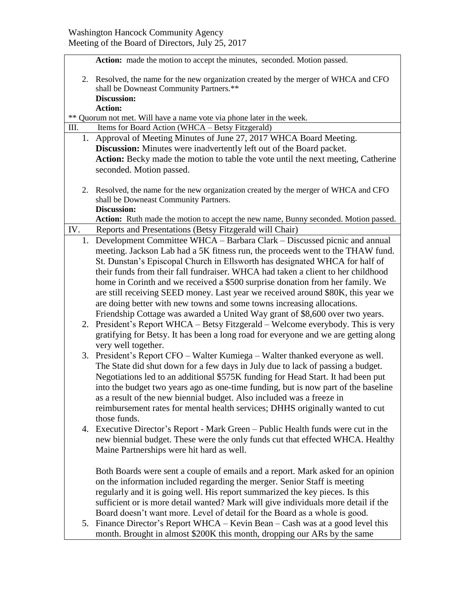| Action: made the motion to accept the minutes, seconded. Motion passed. |                                                                                                                                 |  |  |
|-------------------------------------------------------------------------|---------------------------------------------------------------------------------------------------------------------------------|--|--|
|                                                                         | 2. Resolved, the name for the new organization created by the merger of WHCA and CFO<br>shall be Downeast Community Partners.** |  |  |
|                                                                         | <b>Discussion:</b>                                                                                                              |  |  |
|                                                                         | <b>Action:</b>                                                                                                                  |  |  |
|                                                                         | ** Quorum not met. Will have a name vote via phone later in the week.                                                           |  |  |
| Ш.                                                                      | Items for Board Action (WHCA - Betsy Fitzgerald)                                                                                |  |  |
|                                                                         | 1. Approval of Meeting Minutes of June 27, 2017 WHCA Board Meeting.                                                             |  |  |
|                                                                         | <b>Discussion:</b> Minutes were inadvertently left out of the Board packet.                                                     |  |  |
|                                                                         | Action: Becky made the motion to table the vote until the next meeting, Catherine<br>seconded. Motion passed.                   |  |  |
|                                                                         |                                                                                                                                 |  |  |
|                                                                         | 2. Resolved, the name for the new organization created by the merger of WHCA and CFO<br>shall be Downeast Community Partners.   |  |  |
|                                                                         | <b>Discussion:</b>                                                                                                              |  |  |
|                                                                         | Action: Ruth made the motion to accept the new name, Bunny seconded. Motion passed.                                             |  |  |
| IV.                                                                     | Reports and Presentations (Betsy Fitzgerald will Chair)                                                                         |  |  |
| 1.                                                                      | Development Committee WHCA – Barbara Clark – Discussed picnic and annual                                                        |  |  |
|                                                                         | meeting. Jackson Lab had a 5K fitness run, the proceeds went to the THAW fund.                                                  |  |  |
|                                                                         | St. Dunstan's Episcopal Church in Ellsworth has designated WHCA for half of                                                     |  |  |
|                                                                         | their funds from their fall fundraiser. WHCA had taken a client to her childhood                                                |  |  |
|                                                                         | home in Corinth and we received a \$500 surprise donation from her family. We                                                   |  |  |
|                                                                         | are still receiving SEED money. Last year we received around \$80K, this year we                                                |  |  |
|                                                                         | are doing better with new towns and some towns increasing allocations.                                                          |  |  |
|                                                                         | Friendship Cottage was awarded a United Way grant of \$8,600 over two years.                                                    |  |  |
| 2.                                                                      | President's Report WHCA - Betsy Fitzgerald - Welcome everybody. This is very                                                    |  |  |
|                                                                         | gratifying for Betsy. It has been a long road for everyone and we are getting along<br>very well together.                      |  |  |
|                                                                         | 3. President's Report CFO – Walter Kumiega – Walter thanked everyone as well.                                                   |  |  |
|                                                                         | The State did shut down for a few days in July due to lack of passing a budget.                                                 |  |  |
|                                                                         | Negotiations led to an additional \$575K funding for Head Start. It had been put                                                |  |  |
|                                                                         | into the budget two years ago as one-time funding, but is now part of the baseline                                              |  |  |
|                                                                         | as a result of the new biennial budget. Also included was a freeze in                                                           |  |  |
|                                                                         | reimbursement rates for mental health services; DHHS originally wanted to cut                                                   |  |  |
|                                                                         | those funds.                                                                                                                    |  |  |
| 4.                                                                      | Executive Director's Report - Mark Green – Public Health funds were cut in the                                                  |  |  |
|                                                                         | new biennial budget. These were the only funds cut that effected WHCA. Healthy                                                  |  |  |
|                                                                         | Maine Partnerships were hit hard as well.                                                                                       |  |  |
|                                                                         |                                                                                                                                 |  |  |
|                                                                         | Both Boards were sent a couple of emails and a report. Mark asked for an opinion                                                |  |  |
|                                                                         | on the information included regarding the merger. Senior Staff is meeting                                                       |  |  |
|                                                                         | regularly and it is going well. His report summarized the key pieces. Is this                                                   |  |  |
|                                                                         | sufficient or is more detail wanted? Mark will give individuals more detail if the                                              |  |  |
|                                                                         | Board doesn't want more. Level of detail for the Board as a whole is good.                                                      |  |  |
|                                                                         | 5. Finance Director's Report WHCA - Kevin Bean - Cash was at a good level this                                                  |  |  |
|                                                                         | month. Brought in almost \$200K this month, dropping our ARs by the same                                                        |  |  |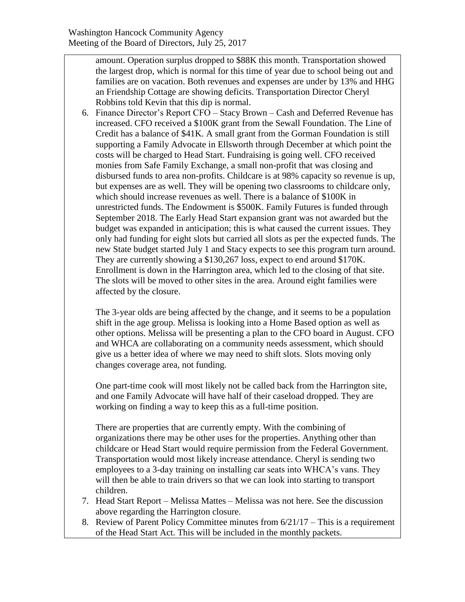amount. Operation surplus dropped to \$88K this month. Transportation showed the largest drop, which is normal for this time of year due to school being out and families are on vacation. Both revenues and expenses are under by 13% and HHG an Friendship Cottage are showing deficits. Transportation Director Cheryl Robbins told Kevin that this dip is normal.

6. Finance Director's Report CFO – Stacy Brown – Cash and Deferred Revenue has increased. CFO received a \$100K grant from the Sewall Foundation. The Line of Credit has a balance of \$41K. A small grant from the Gorman Foundation is still supporting a Family Advocate in Ellsworth through December at which point the costs will be charged to Head Start. Fundraising is going well. CFO received monies from Safe Family Exchange, a small non-profit that was closing and disbursed funds to area non-profits. Childcare is at 98% capacity so revenue is up, but expenses are as well. They will be opening two classrooms to childcare only, which should increase revenues as well. There is a balance of \$100K in unrestricted funds. The Endowment is \$500K. Family Futures is funded through September 2018. The Early Head Start expansion grant was not awarded but the budget was expanded in anticipation; this is what caused the current issues. They only had funding for eight slots but carried all slots as per the expected funds. The new State budget started July 1 and Stacy expects to see this program turn around. They are currently showing a \$130,267 loss, expect to end around \$170K. Enrollment is down in the Harrington area, which led to the closing of that site. The slots will be moved to other sites in the area. Around eight families were affected by the closure.

The 3-year olds are being affected by the change, and it seems to be a population shift in the age group. Melissa is looking into a Home Based option as well as other options. Melissa will be presenting a plan to the CFO board in August. CFO and WHCA are collaborating on a community needs assessment, which should give us a better idea of where we may need to shift slots. Slots moving only changes coverage area, not funding.

One part-time cook will most likely not be called back from the Harrington site, and one Family Advocate will have half of their caseload dropped. They are working on finding a way to keep this as a full-time position.

There are properties that are currently empty. With the combining of organizations there may be other uses for the properties. Anything other than childcare or Head Start would require permission from the Federal Government. Transportation would most likely increase attendance. Cheryl is sending two employees to a 3-day training on installing car seats into WHCA's vans. They will then be able to train drivers so that we can look into starting to transport children.

- 7. Head Start Report Melissa Mattes Melissa was not here. See the discussion above regarding the Harrington closure.
- 8. Review of Parent Policy Committee minutes from 6/21/17 This is a requirement of the Head Start Act. This will be included in the monthly packets.